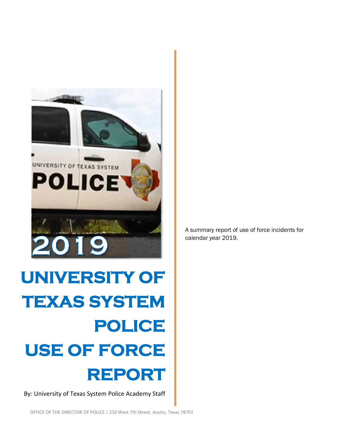

# **UNIVERSITY OF TEXAS SYSTEM POLICE USE OF FORCE REPORT**

By: University of Texas System Police Academy Staff

OFFICE OF THE DIRECTOR OF POLICE | 210 West 7th Street, Austin, Texas 78701

A summary report of use of force incidents for calendar year 2019.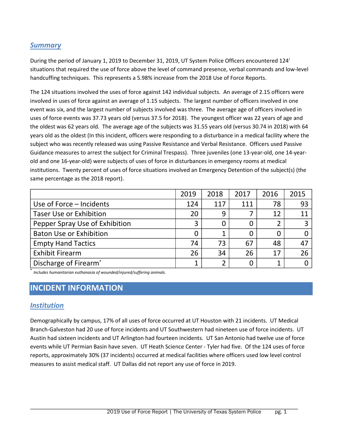#### *Summary*

Dur[i](#page-9-0)ng the period of January 1, 2019 to December 31, 2019, UT System Police Officers encountered 124<sup>i</sup> situations that required the use of force above the level of command presence, verbal commands and low-level handcuffing techniques. This represents a 5.98% increase from the 2018 Use of Force Reports.

The 124 situations involved the uses of force against 142 individual subjects. An average of 2.15 officers were involved in uses of force against an average of 1.15 subjects. The largest number of officers involved in one event was six, and the largest number of subjects involved was three. The average age of officers involved in uses of force events was 37.73 years old (versus 37.5 for 2018). The youngest officer was 22 years of age and the oldest was 62 years old. The average age of the subjects was 31.55 years old (versus 30.74 in 2018) with 64 years old as the oldest (In this incident, officers were responding to a disturbance in a medical facility where the subject who was recently released was using Passive Resistance and Verbal Resistance. Officers used Passive Guidance measures to arrest the subject for Criminal Trespass). Three juveniles (one 13-year-old, one 14-yearold and one 16-year-old) were subjects of uses of force in disturbances in emergency rooms at medical institutions. Twenty percent of uses of force situations involved an Emergency Detention of the subject(s) (the same percentage as the 2018 report).

|                                | 2019 | 2018 | 2017 | 2016           | 2015 |
|--------------------------------|------|------|------|----------------|------|
| Use of Force – Incidents       | 124  | 117  | 111  | 78             | 93   |
| <b>Taser Use or Exhibition</b> | 20   | 9    |      | 12             | 11   |
| Pepper Spray Use of Exhibition | 3    |      |      | 2              | 3    |
| <b>Baton Use or Exhibition</b> | 0    |      |      | 0              |      |
| <b>Empty Hand Tactics</b>      | 74   | 73   | 67   | 48             | 47   |
| <b>Exhibit Firearm</b>         | 26   | 34   | 26   | 17             | 26   |
| Discharge of Firearm*          | 1    | ∍    |      | $\overline{1}$ |      |

\* *Includes humanitarian euthanasia of wounded/injured/suffering animals.*

# **INCIDENT INFORMATION**

#### *Institution*

Demographically by campus, 17% of all uses of force occurred at UT Houston with 21 incidents. UT Medical Branch-Galveston had 20 use of force incidents and UT Southwestern had nineteen use of force incidents. UT Austin had sixteen incidents and UT Arlington had fourteen incidents. UT San Antonio had twelve use of force events while UT Permian Basin have seven. UT Heath Science Center - Tyler had five. Of the 124 uses of force reports, approximately 30% (37 incidents) occurred at medical facilities where officers used low level control measures to assist medical staff. UT Dallas did not report any use of force in 2019.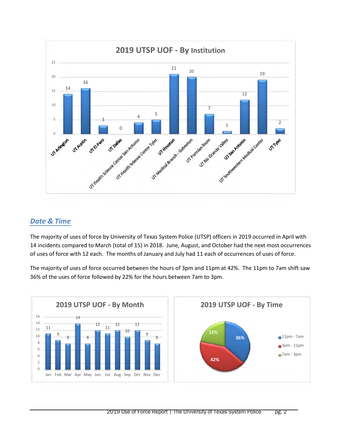

#### *Date & Time*

The majority of uses of force by University of Texas System Police (UTSP) officers in 2019 occurred in April with 14 incidents compared to March (total of 15) in 2018. June, August, and October had the next most occurrences of uses of force with 12 each. The months of January and July had 11 each of occurrences of uses of force.

The majority of uses of force occurred between the hours of 3pm and 11pm at 42%. The 11pm to 7am shift saw 36% of the uses of force followed by 22% for the hours between 7am to 3pm.

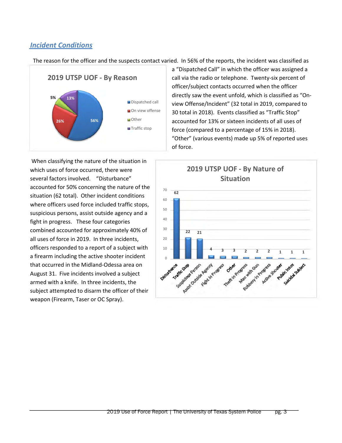#### *Incident Conditions*

The reason for the officer and the suspects contact varied. In 56% of the reports, the incident was classified as



When classifying the nature of the situation in which uses of force occurred, there were several factors involved. "Disturbance" accounted for 50% concerning the nature of the situation (62 total). Other incident conditions where officers used force included traffic stops, suspicious persons, assist outside agency and a fight in progress. These four categories combined accounted for approximately 40% of all uses of force in 2019. In three incidents, officers responded to a report of a subject with a firearm including the active shooter incident that occurred in the Midland-Odessa area on August 31. Five incidents involved a subject armed with a knife. In three incidents, the subject attempted to disarm the officer of their weapon (Firearm, Taser or OC Spray).

a "Dispatched Call" in which the officer was assigned a call via the radio or telephone. Twenty-six percent of officer/subject contacts occurred when the officer directly saw the event unfold, which is classified as "Onview Offense/Incident" (32 total in 2019, compared to 30 total in 2018). Events classified as "Traffic Stop" accounted for 13% or sixteen incidents of all uses of force (compared to a percentage of 15% in 2018). "Other" (various events) made up 5% of reported uses of force.

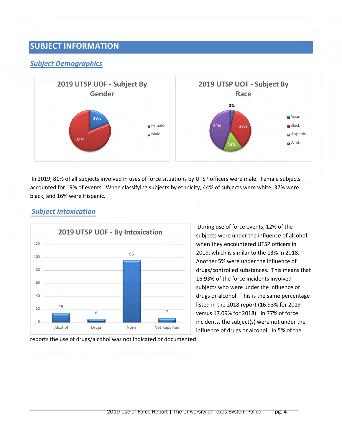# **SUBJECT INFORMATION**

#### *Subject Demographics*



In 2019, 81% of all subjects involved in uses of force situations by UTSP officers were male. Female subjects accounted for 19% of events. When classifying subjects by ethnicity, 44% of subjects were white, 37% were black, and 16% were Hispanic.



## *Subject Intoxication*

During use of force events, 12% of the subjects were under the influence of alcohol when they encountered UTSP officers in 2019, which is similar to the 13% in 2018. Another 5% were under the influence of drugs/controlled substances. This means that 16.93% of the force incidents involved subjects who were under the influence of drugs or alcohol. This is the same percentage listed in the 2018 report (16.93% for 2019 versus 17.09% for 2018). In 77% of force incidents, the subject(s) were not under the influence of drugs or alcohol. In 5% of the

reports the use of drugs/alcohol was not indicated or documented.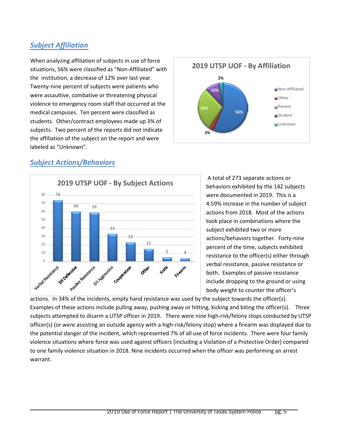## *Subject Affiliation*

When analyzing affiliation of subjects in use of force situations, 56% were classified as "Non-Affiliated" with the institution, a decrease of 12% over last year. Twenty-nine percent of subjects were patients who were assaultive, combative or threatening physical violence to emergency room staff that occurred at the medical campuses. Ten percent were classified as students. Other/contract employees made up 3% of subjects. Two percent of the reports did not indicate the affiliation of the subject on the report and were labeled as "Unknown".



### *Subject Actions/Behaviors*



A total of 273 separate actions or behaviors exhibited by the 142 subjects were documented in 2019. This is a 4.59% increase in the number of subject actions from 2018. Most of the actions took place in combinations where the subject exhibited two or more actions/behaviors together. Forty-nine percent of the time, subjects exhibited resistance to the officer(s) either through verbal resistance, passive resistance or both. Examples of passive resistance include dropping to the ground or using body weight to counter the officer's

actions. In 34% of the incidents, empty hand resistance was used by the subject towards the officer(s). Examples of these actions include pulling away, pushing away or hitting, kicking and biting the officer(s). Three subjects attempted to disarm a UTSP officer in 2019. There were nine high-risk/felony stops conducted by UTSP officer(s) (or were assisting an outside agency with a high-risk/felony stop) where a firearm was displayed due to the potential danger of the incident, which represented 7% of all use of force incidents. There were four family violence situations where force was used against officers (including a Violation of a Protective Order) compared to one family violence situation in 2018. Nine incidents occurred when the officer was performing an arrest warrant.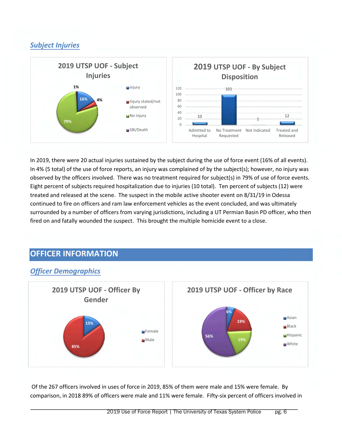# *Subject Injuries*



In 2019, there were 20 actual injuries sustained by the subject during the use of force event (16% of all events). In 4% (5 total) of the use of force reports, an injury was complained of by the subject(s); however, no injury was observed by the officers involved. There was no treatment required for subject(s) in 79% of use of force events. Eight percent of subjects required hospitalization due to injuries (10 total). Ten percent of subjects (12) were treated and released at the scene. The suspect in the mobile active shooter event on 8/31/19 in Odessa continued to fire on officers and ram law enforcement vehicles as the event concluded, and was ultimately surrounded by a number of officers from varying jurisdictions, including a UT Permian Basin PD officer, who then fired on and fatally wounded the suspect. This brought the multiple homicide event to a close.

# **OFFICER INFORMATION**



## *Officer Demographics*

Of the 267 officers involved in uses of force in 2019, 85% of them were male and 15% were female. By comparison, in 2018 89% of officers were male and 11% were female. Fifty-six percent of officers involved in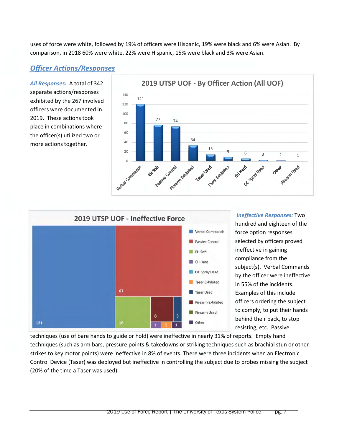uses of force were white, followed by 19% of officers were Hispanic, 19% were black and 6% were Asian. By comparison, in 2018 60% were white, 22% were Hispanic, 15% were black and 3% were Asian.

#### *Officer Actions/Responses*

*All Responses:* A total of 342 separate actions/responses exhibited by the 267 involved officers were documented in 2019. These actions took place in combinations where the officer(s) utilized two or more actions together.





*Ineffective Responses:* Two hundred and eighteen of the force option responses selected by officers proved ineffective in gaining compliance from the subject(s). Verbal Commands by the officer were ineffective in 55% of the incidents. Examples of this include officers ordering the subject to comply, to put their hands behind their back, to stop resisting, etc. Passive

techniques (use of bare hands to guide or hold) were ineffective in nearly 31% of reports. Empty hand techniques (such as arm bars, pressure points & takedowns or striking techniques such as brachial stun or other strikes to key motor points) were ineffective in 8% of events. There were three incidents when an Electronic Control Device (Taser) was deployed but ineffective in controlling the subject due to probes missing the subject (20% of the time a Taser was used).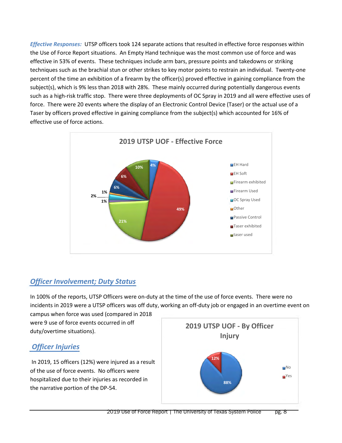*Effective Responses:* UTSP officers took 124 separate actions that resulted in effective force responses within the Use of Force Report situations. An Empty Hand technique was the most common use of force and was effective in 53% of events. These techniques include arm bars, pressure points and takedowns or striking techniques such as the brachial stun or other strikes to key motor points to restrain an individual. Twenty-one percent of the time an exhibition of a firearm by the officer(s) proved effective in gaining compliance from the subject(s), which is 9% less than 2018 with 28%. These mainly occurred during potentially dangerous events such as a high-risk traffic stop. There were three deployments of OC Spray in 2019 and all were effective uses of force. There were 20 events where the display of an Electronic Control Device (Taser) or the actual use of a Taser by officers proved effective in gaining compliance from the subject(s) which accounted for 16% of effective use of force actions.



### *Officer Involvement; Duty Status*

In 100% of the reports, UTSP Officers were on-duty at the time of the use of force events. There were no incidents in 2019 were a UTSP officers was off duty, working an off-duty job or engaged in an overtime event on

campus when force was used (compared in 2018 were 9 use of force events occurred in off duty/overtime situations).

# *Officer Injuries*

In 2019, 15 officers (12%) were injured as a result of the use of force events. No officers were hospitalized due to their injuries as recorded in the narrative portion of the DP-54.